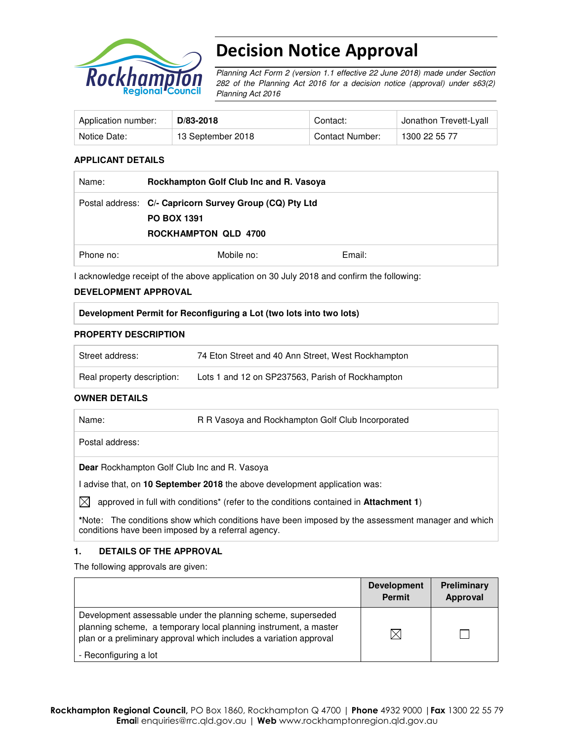

# Decision Notice Approval

Planning Act Form 2 (version 1.1 effective 22 June 2018) made under Section 282 of the Planning Act 2016 for a decision notice (approval) under s63(2) Planning Act 2016

| Application number: | D/83-2018         | Contact:        | <sup>⊥</sup> Jonathon Trevett-Lyall |
|---------------------|-------------------|-----------------|-------------------------------------|
| Notice Date:        | 13 September 2018 | Contact Number: | 1300 22 55 77                       |

## **APPLICANT DETAILS**

| Name:     | Rockhampton Golf Club Inc and R. Vasoya                                                                      |        |
|-----------|--------------------------------------------------------------------------------------------------------------|--------|
|           | Postal address: C/- Capricorn Survey Group (CQ) Pty Ltd<br><b>PO BOX 1391</b><br><b>ROCKHAMPTON QLD 4700</b> |        |
| Phone no: | Mobile no:                                                                                                   | Email: |

I acknowledge receipt of the above application on 30 July 2018 and confirm the following:

## **DEVELOPMENT APPROVAL**

## **PROPERTY DESCRIPTION**

| Street address:            | 74 Eton Street and 40 Ann Street, West Rockhampton |
|----------------------------|----------------------------------------------------|
| Real property description: | Lots 1 and 12 on SP237563, Parish of Rockhampton   |

## **OWNER DETAILS**

| Name:                                                                    | R R Vasova and Rockhampton Golf Club Incorporated |  |
|--------------------------------------------------------------------------|---------------------------------------------------|--|
| Postal address:                                                          |                                                   |  |
| <b>Dear</b> Rockhampton Golf Club Inc and R. Vasova                      |                                                   |  |
| advise that, on 10 September 2018 the above development application was: |                                                   |  |

 $\boxtimes$  approved in full with conditions<sup>\*</sup> (refer to the conditions contained in **Attachment 1**)

**\***Note:The conditions show which conditions have been imposed by the assessment manager and which conditions have been imposed by a referral agency.

## **1. DETAILS OF THE APPROVAL**

The following approvals are given:

|                                                                                                                                                                                                        | <b>Development</b><br><b>Permit</b> | <b>Preliminary</b><br>Approval |
|--------------------------------------------------------------------------------------------------------------------------------------------------------------------------------------------------------|-------------------------------------|--------------------------------|
| Development assessable under the planning scheme, superseded<br>planning scheme, a temporary local planning instrument, a master<br>plan or a preliminary approval which includes a variation approval |                                     |                                |
| - Reconfiguring a lot                                                                                                                                                                                  |                                     |                                |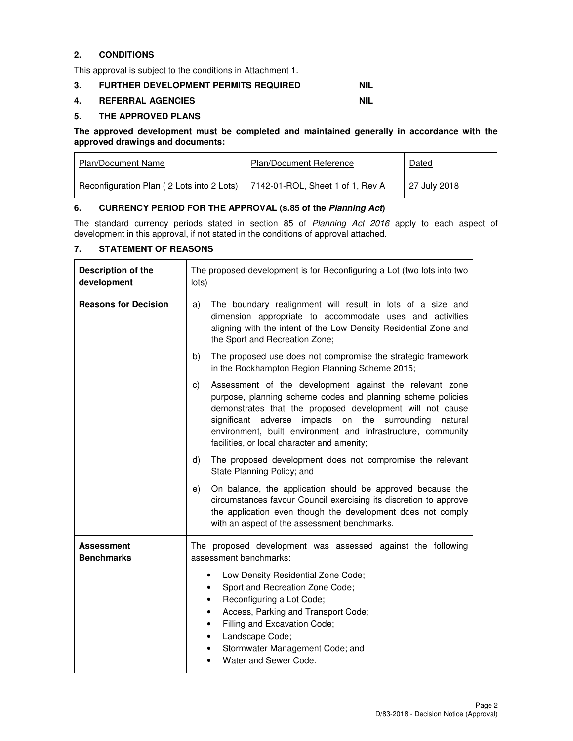## **2. CONDITIONS**

This approval is subject to the conditions in Attachment 1.

## **3. FURTHER DEVELOPMENT PERMITS REQUIRED NIL**

#### **4. REFERRAL AGENCIES NIL**

### **5. THE APPROVED PLANS**

#### **The approved development must be completed and maintained generally in accordance with the approved drawings and documents:**

| Plan/Document Name                                                           | <b>Plan/Document Reference</b> | Dated        |
|------------------------------------------------------------------------------|--------------------------------|--------------|
| Reconfiguration Plan (2 Lots into 2 Lots)   7142-01-ROL, Sheet 1 of 1, Rev A |                                | 27 July 2018 |

## **6. CURRENCY PERIOD FOR THE APPROVAL (s.85 of the Planning Act)**

The standard currency periods stated in section 85 of Planning Act 2016 apply to each aspect of development in this approval, if not stated in the conditions of approval attached.

## **7. STATEMENT OF REASONS**

| Description of the<br>development      | The proposed development is for Reconfiguring a Lot (two lots into two<br>lots)                                                                                                                                                                                                                                                                                       |
|----------------------------------------|-----------------------------------------------------------------------------------------------------------------------------------------------------------------------------------------------------------------------------------------------------------------------------------------------------------------------------------------------------------------------|
| <b>Reasons for Decision</b>            | The boundary realignment will result in lots of a size and<br>a)<br>dimension appropriate to accommodate uses and activities<br>aligning with the intent of the Low Density Residential Zone and<br>the Sport and Recreation Zone;                                                                                                                                    |
|                                        | The proposed use does not compromise the strategic framework<br>b)<br>in the Rockhampton Region Planning Scheme 2015;                                                                                                                                                                                                                                                 |
|                                        | Assessment of the development against the relevant zone<br>c)<br>purpose, planning scheme codes and planning scheme policies<br>demonstrates that the proposed development will not cause<br>significant adverse impacts on the surrounding<br>natural<br>environment, built environment and infrastructure, community<br>facilities, or local character and amenity; |
|                                        | The proposed development does not compromise the relevant<br>d)<br>State Planning Policy; and                                                                                                                                                                                                                                                                         |
|                                        | On balance, the application should be approved because the<br>e)<br>circumstances favour Council exercising its discretion to approve<br>the application even though the development does not comply<br>with an aspect of the assessment benchmarks.                                                                                                                  |
| <b>Assessment</b><br><b>Benchmarks</b> | The proposed development was assessed against the following<br>assessment benchmarks:                                                                                                                                                                                                                                                                                 |
|                                        | Low Density Residential Zone Code;<br>$\bullet$<br>Sport and Recreation Zone Code;<br>٠<br>Reconfiguring a Lot Code;<br>$\bullet$<br>Access, Parking and Transport Code;<br>٠<br>Filling and Excavation Code;<br>$\bullet$<br>Landscape Code;<br>$\bullet$<br>Stormwater Management Code; and<br>$\bullet$<br>Water and Sewer Code.<br>$\bullet$                      |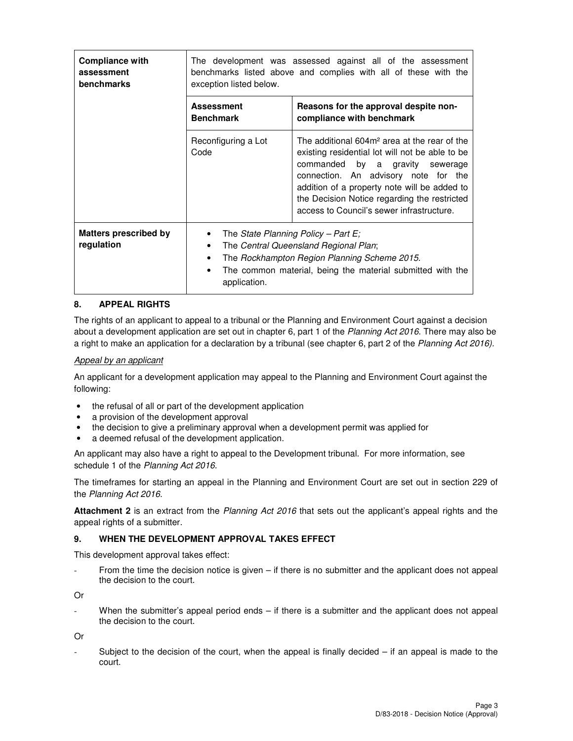| <b>Compliance with</b><br>assessment<br><b>benchmarks</b> | The development was assessed against all of the assessment<br>benchmarks listed above and complies with all of these with the<br>exception listed below.                                                                                  |                                                                                                                                                                                                                                                                                                                                     |  |
|-----------------------------------------------------------|-------------------------------------------------------------------------------------------------------------------------------------------------------------------------------------------------------------------------------------------|-------------------------------------------------------------------------------------------------------------------------------------------------------------------------------------------------------------------------------------------------------------------------------------------------------------------------------------|--|
|                                                           | <b>Assessment</b><br><b>Benchmark</b>                                                                                                                                                                                                     | Reasons for the approval despite non-<br>compliance with benchmark                                                                                                                                                                                                                                                                  |  |
|                                                           | Reconfiguring a Lot<br>Code                                                                                                                                                                                                               | The additional 604m <sup>2</sup> area at the rear of the<br>existing residential lot will not be able to be<br>commanded by a gravity sewerage<br>connection. An advisory note for the<br>addition of a property note will be added to<br>the Decision Notice regarding the restricted<br>access to Council's sewer infrastructure. |  |
| Matters prescribed by<br>regulation                       | The State Planning Policy - Part $E_i$<br>٠<br>The Central Queensland Regional Plan;<br>٠<br>The Rockhampton Region Planning Scheme 2015.<br>٠<br>The common material, being the material submitted with the<br>$\bullet$<br>application. |                                                                                                                                                                                                                                                                                                                                     |  |

## **8. APPEAL RIGHTS**

The rights of an applicant to appeal to a tribunal or the Planning and Environment Court against a decision about a development application are set out in chapter 6, part 1 of the Planning Act 2016. There may also be a right to make an application for a declaration by a tribunal (see chapter 6, part 2 of the Planning Act 2016).

## Appeal by an applicant

An applicant for a development application may appeal to the Planning and Environment Court against the following:

- the refusal of all or part of the development application
- a provision of the development approval
- the decision to give a preliminary approval when a development permit was applied for
- a deemed refusal of the development application.

An applicant may also have a right to appeal to the Development tribunal. For more information, see schedule 1 of the Planning Act 2016.

The timeframes for starting an appeal in the Planning and Environment Court are set out in section 229 of the Planning Act 2016.

**Attachment 2** is an extract from the Planning Act 2016 that sets out the applicant's appeal rights and the appeal rights of a submitter.

## **9. WHEN THE DEVELOPMENT APPROVAL TAKES EFFECT**

This development approval takes effect:

From the time the decision notice is given  $-$  if there is no submitter and the applicant does not appeal the decision to the court.

Or

When the submitter's appeal period ends  $-$  if there is a submitter and the applicant does not appeal the decision to the court.

Or

Subject to the decision of the court, when the appeal is finally decided  $-$  if an appeal is made to the court.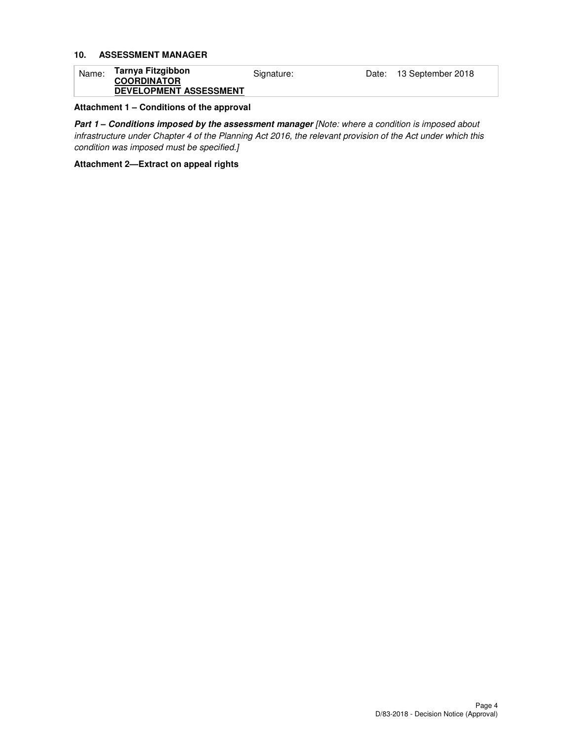## **10. ASSESSMENT MANAGER**

| Name: | Tarnya Fitzgibbon<br><b>COORDINATOR</b> | Signature: | Date: | 13 September 2018 |
|-------|-----------------------------------------|------------|-------|-------------------|
|       | <b>DEVELOPMENT ASSESSMENT</b>           |            |       |                   |

## **Attachment 1 – Conditions of the approval**

Part 1 - Conditions imposed by the assessment manager [Note: where a condition is imposed about infrastructure under Chapter 4 of the Planning Act 2016, the relevant provision of the Act under which this condition was imposed must be specified.]

### **Attachment 2—Extract on appeal rights**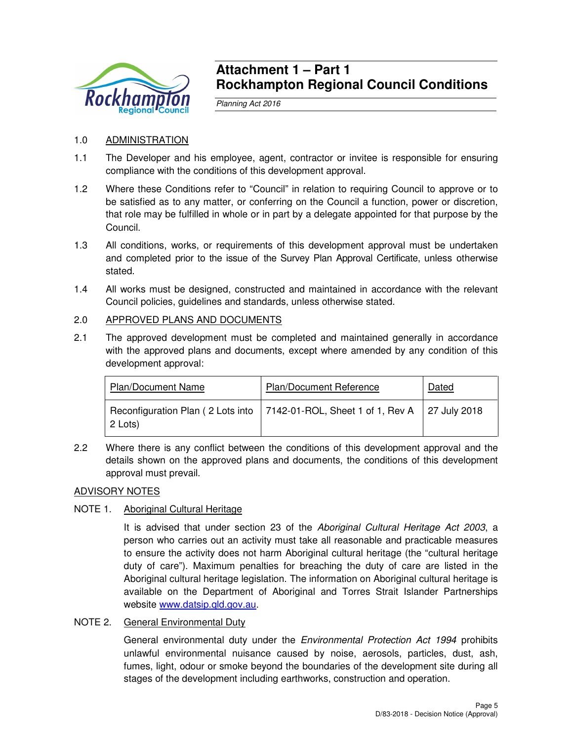

## **Attachment 1 – Part 1 Rockhampton Regional Council Conditions**

Planning Act 2016

## 1.0 ADMINISTRATION

- 1.1 The Developer and his employee, agent, contractor or invitee is responsible for ensuring compliance with the conditions of this development approval.
- 1.2 Where these Conditions refer to "Council" in relation to requiring Council to approve or to be satisfied as to any matter, or conferring on the Council a function, power or discretion, that role may be fulfilled in whole or in part by a delegate appointed for that purpose by the Council.
- 1.3 All conditions, works, or requirements of this development approval must be undertaken and completed prior to the issue of the Survey Plan Approval Certificate, unless otherwise stated.
- 1.4 All works must be designed, constructed and maintained in accordance with the relevant Council policies, guidelines and standards, unless otherwise stated.

## 2.0 APPROVED PLANS AND DOCUMENTS

2.1 The approved development must be completed and maintained generally in accordance with the approved plans and documents, except where amended by any condition of this development approval:

| <b>Plan/Document Name</b> | Plan/Document Reference                                                             | Dated |
|---------------------------|-------------------------------------------------------------------------------------|-------|
| 2 Lots)                   | Reconfiguration Plan (2 Lots into   7142-01-ROL, Sheet 1 of 1, Rev A   27 July 2018 |       |

2.2 Where there is any conflict between the conditions of this development approval and the details shown on the approved plans and documents, the conditions of this development approval must prevail.

## ADVISORY NOTES

## NOTE 1. Aboriginal Cultural Heritage

It is advised that under section 23 of the Aboriginal Cultural Heritage Act 2003, a person who carries out an activity must take all reasonable and practicable measures to ensure the activity does not harm Aboriginal cultural heritage (the "cultural heritage duty of care"). Maximum penalties for breaching the duty of care are listed in the Aboriginal cultural heritage legislation. The information on Aboriginal cultural heritage is available on the Department of Aboriginal and Torres Strait Islander Partnerships website www.datsip.qld.gov.au.

## NOTE 2. General Environmental Duty

General environmental duty under the *Environmental Protection Act 1994* prohibits unlawful environmental nuisance caused by noise, aerosols, particles, dust, ash, fumes, light, odour or smoke beyond the boundaries of the development site during all stages of the development including earthworks, construction and operation.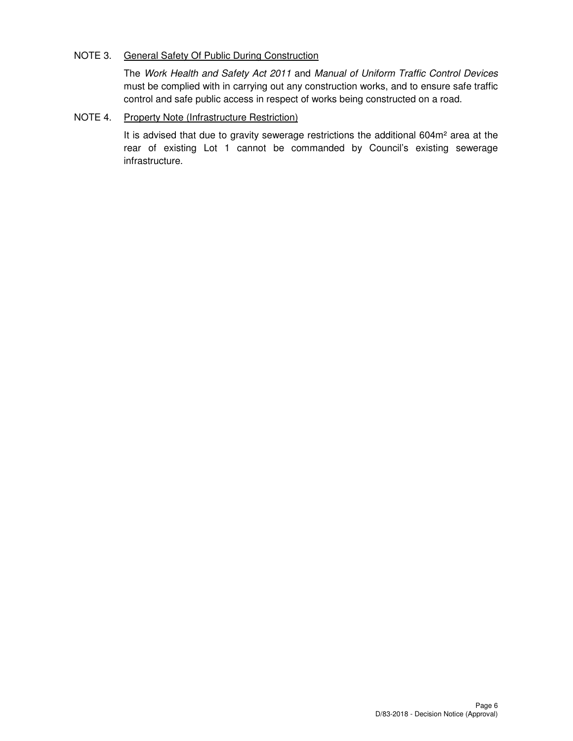## NOTE 3. General Safety Of Public During Construction

The Work Health and Safety Act 2011 and Manual of Uniform Traffic Control Devices must be complied with in carrying out any construction works, and to ensure safe traffic control and safe public access in respect of works being constructed on a road.

## NOTE 4. Property Note (Infrastructure Restriction)

It is advised that due to gravity sewerage restrictions the additional 604m<sup>2</sup> area at the rear of existing Lot 1 cannot be commanded by Council's existing sewerage infrastructure.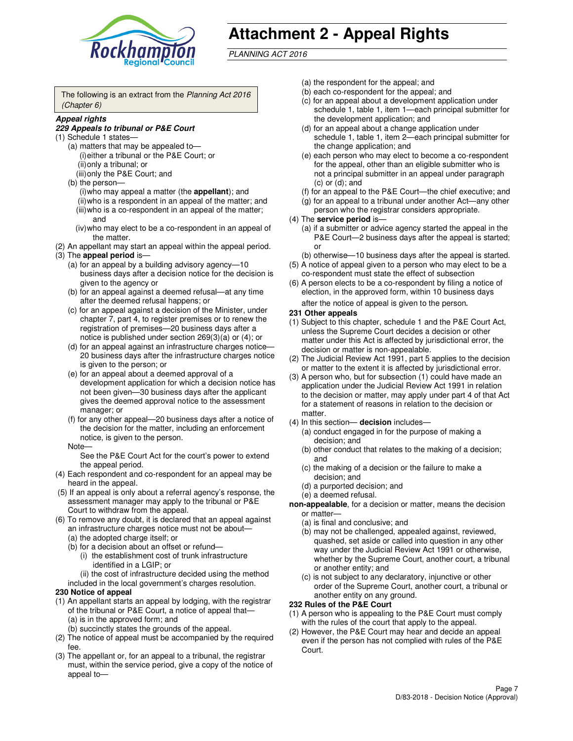

# **Attachment 2 - Appeal Rights**

PLANNING ACT 2016

The following is an extract from the Planning Act 2016 (Chapter 6)

#### **Appeal rights**

#### **229 Appeals to tribunal or P&E Court**

- (1) Schedule 1 states—
	- (a) matters that may be appealed to— (i) either a tribunal or the P&E Court; or (ii) only a tribunal; or (iii) only the P&E Court; and
	- (b) the person—
		- (i) who may appeal a matter (the **appellant**); and
		- (ii) who is a respondent in an appeal of the matter; and (iii) who is a co-respondent in an appeal of the matter; and
		- (iv) who may elect to be a co-respondent in an appeal of the matter.
- (2) An appellant may start an appeal within the appeal period.
- (3) The **appeal period** is—
	- (a) for an appeal by a building advisory agency—10 business days after a decision notice for the decision is given to the agency or
	- (b) for an appeal against a deemed refusal—at any time after the deemed refusal happens; or
	- (c) for an appeal against a decision of the Minister, under chapter 7, part 4, to register premises or to renew the registration of premises—20 business days after a notice is published under section 269(3)(a) or (4); or
	- (d) for an appeal against an infrastructure charges notice— 20 business days after the infrastructure charges notice is given to the person; or
	- (e) for an appeal about a deemed approval of a development application for which a decision notice has not been given—30 business days after the applicant gives the deemed approval notice to the assessment manager; or
	- (f) for any other appeal—20 business days after a notice of the decision for the matter, including an enforcement notice, is given to the person.
	- Note—

See the P&E Court Act for the court's power to extend the appeal period.

- (4) Each respondent and co-respondent for an appeal may be heard in the appeal.
- (5) If an appeal is only about a referral agency's response, the assessment manager may apply to the tribunal or P&E Court to withdraw from the appeal.
- (6) To remove any doubt, it is declared that an appeal against an infrastructure charges notice must not be about—
	- (a) the adopted charge itself; or
	- (b) for a decision about an offset or refund—
		- (i) the establishment cost of trunk infrastructure identified in a LGIP; or

(ii) the cost of infrastructure decided using the method

- included in the local government's charges resolution. **230 Notice of appeal**
- (1) An appellant starts an appeal by lodging, with the registrar of the tribunal or P&E Court, a notice of appeal that—
	- (a) is in the approved form; and
	- (b) succinctly states the grounds of the appeal.
- (2) The notice of appeal must be accompanied by the required fee.
- (3) The appellant or, for an appeal to a tribunal, the registrar must, within the service period, give a copy of the notice of appeal to—
- (a) the respondent for the appeal; and
- (b) each co-respondent for the appeal; and
- (c) for an appeal about a development application under schedule 1, table 1, item 1—each principal submitter for the development application; and
- (d) for an appeal about a change application under schedule 1, table 1, item 2—each principal submitter for the change application; and
- (e) each person who may elect to become a co-respondent for the appeal, other than an eligible submitter who is not a principal submitter in an appeal under paragraph  $(c)$  or  $(d)$ ; and
- (f) for an appeal to the P&E Court—the chief executive; and
- (g) for an appeal to a tribunal under another Act—any other person who the registrar considers appropriate.
- (4) The **service period** is—
	- (a) if a submitter or advice agency started the appeal in the P&E Court—2 business days after the appeal is started; or
	- (b) otherwise—10 business days after the appeal is started.
- (5) A notice of appeal given to a person who may elect to be a co-respondent must state the effect of subsection
- (6) A person elects to be a co-respondent by filing a notice of election, in the approved form, within 10 business days after the notice of appeal is given to the person*.*
- **231 Other appeals**
- (1) Subject to this chapter, schedule 1 and the P&E Court Act, unless the Supreme Court decides a decision or other matter under this Act is affected by jurisdictional error, the decision or matter is non-appealable.
- (2) The Judicial Review Act 1991, part 5 applies to the decision or matter to the extent it is affected by jurisdictional error.
- (3) A person who, but for subsection (1) could have made an application under the Judicial Review Act 1991 in relation to the decision or matter, may apply under part 4 of that Act for a statement of reasons in relation to the decision or matter.
- (4) In this section— **decision** includes—
	- (a) conduct engaged in for the purpose of making a decision; and
	- (b) other conduct that relates to the making of a decision; and
	- (c) the making of a decision or the failure to make a decision; and
	- (d) a purported decision; and
	- (e) a deemed refusal.

**non-appealable**, for a decision or matter, means the decision or matter—

- (a) is final and conclusive; and
- (b) may not be challenged, appealed against, reviewed, quashed, set aside or called into question in any other way under the Judicial Review Act 1991 or otherwise, whether by the Supreme Court, another court, a tribunal or another entity; and
- (c) is not subject to any declaratory, injunctive or other order of the Supreme Court, another court, a tribunal or another entity on any ground.

#### **232 Rules of the P&E Court**

- (1) A person who is appealing to the P&E Court must comply with the rules of the court that apply to the appeal.
- (2) However, the P&E Court may hear and decide an appeal even if the person has not complied with rules of the P&E Court.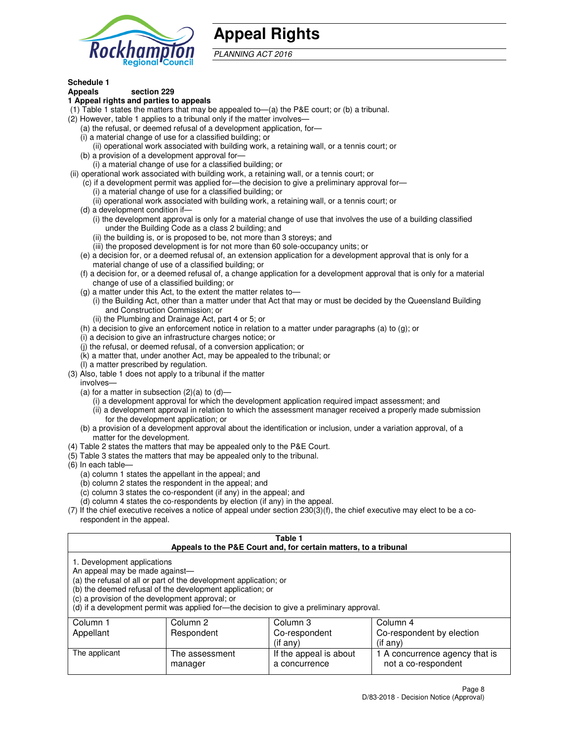

# **Appeal Rights**

PLANNING ACT 2016

## **Schedule 1**

## **Appeals section 229**

### **1 Appeal rights and parties to appeals**

- (1) Table 1 states the matters that may be appealed to—(a) the P&E court; or (b) a tribunal.
- (2) However, table 1 applies to a tribunal only if the matter involves—
	- (a) the refusal, or deemed refusal of a development application, for—
	- (i) a material change of use for a classified building; or
	- (ii) operational work associated with building work, a retaining wall, or a tennis court; or
	- (b) a provision of a development approval for—
	- (i) a material change of use for a classified building; or
- (ii) operational work associated with building work, a retaining wall, or a tennis court; or
	- (c) if a development permit was applied for—the decision to give a preliminary approval for—
		- (i) a material change of use for a classified building; or
		- (ii) operational work associated with building work, a retaining wall, or a tennis court; or
	- (d) a development condition if—
		- (i) the development approval is only for a material change of use that involves the use of a building classified under the Building Code as a class 2 building; and
		- (ii) the building is, or is proposed to be, not more than 3 storeys; and
		- (iii) the proposed development is for not more than 60 sole-occupancy units; or
	- (e) a decision for, or a deemed refusal of, an extension application for a development approval that is only for a material change of use of a classified building; or
	- (f) a decision for, or a deemed refusal of, a change application for a development approval that is only for a material change of use of a classified building; or
	- (g) a matter under this Act, to the extent the matter relates to—
		- (i) the Building Act, other than a matter under that Act that may or must be decided by the Queensland Building and Construction Commission; or
		- (ii) the Plumbing and Drainage Act, part 4 or 5; or
	- (h) a decision to give an enforcement notice in relation to a matter under paragraphs (a) to (g); or
	- (i) a decision to give an infrastructure charges notice; or
	- (j) the refusal, or deemed refusal, of a conversion application; or
	- (k) a matter that, under another Act, may be appealed to the tribunal; or
	- (l) a matter prescribed by regulation.
- (3) Also, table 1 does not apply to a tribunal if the matter
	- involves—
	- (a) for a matter in subsection  $(2)(a)$  to  $(d)$ 
		- (i) a development approval for which the development application required impact assessment; and
		- (ii) a development approval in relation to which the assessment manager received a properly made submission for the development application; or
	- (b) a provision of a development approval about the identification or inclusion, under a variation approval, of a matter for the development.
- (4) Table 2 states the matters that may be appealed only to the P&E Court.
- (5) Table 3 states the matters that may be appealed only to the tribunal.
- (6) In each table—
	- (a) column 1 states the appellant in the appeal; and
	- (b) column 2 states the respondent in the appeal; and
	- (c) column 3 states the co-respondent (if any) in the appeal; and
	- (d) column 4 states the co-respondents by election (if any) in the appeal.
- $(7)$  If the chief executive receives a notice of appeal under section  $230(3)(f)$ , the chief executive may elect to be a corespondent in the appeal.

| Table 1<br>Appeals to the P&E Court and, for certain matters, to a tribunal                                                                                                                                                                                                                                                                    |                           |                                         |                                                       |  |
|------------------------------------------------------------------------------------------------------------------------------------------------------------------------------------------------------------------------------------------------------------------------------------------------------------------------------------------------|---------------------------|-----------------------------------------|-------------------------------------------------------|--|
| 1. Development applications<br>An appeal may be made against-<br>(a) the refusal of all or part of the development application; or<br>(b) the deemed refusal of the development application; or<br>(c) a provision of the development approval; or<br>(d) if a development permit was applied for-the decision to give a preliminary approval. |                           |                                         |                                                       |  |
| Column 1                                                                                                                                                                                                                                                                                                                                       | Column 2                  | Column 3                                | Column 4                                              |  |
| Appellant                                                                                                                                                                                                                                                                                                                                      | Respondent                | Co-respondent                           | Co-respondent by election                             |  |
| $($ if any $)$<br>$($ if any $)$                                                                                                                                                                                                                                                                                                               |                           |                                         |                                                       |  |
| The applicant                                                                                                                                                                                                                                                                                                                                  | The assessment<br>manager | If the appeal is about<br>a concurrence | 1 A concurrence agency that is<br>not a co-respondent |  |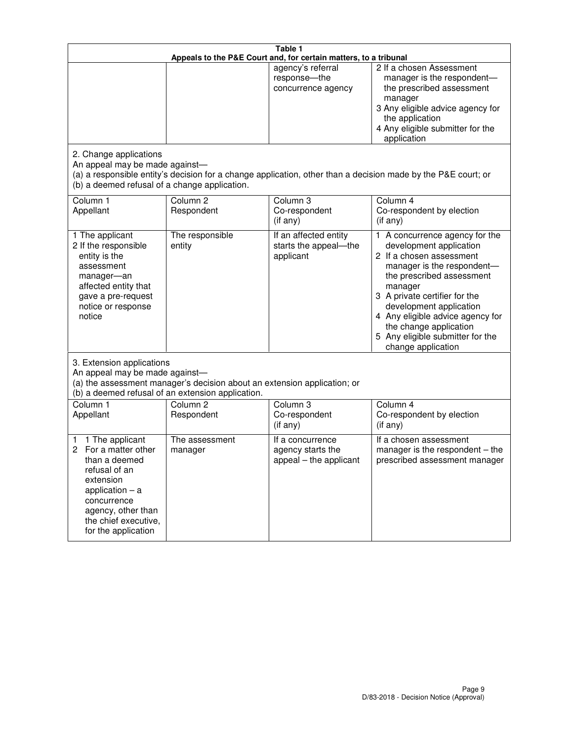| Table 1<br>Appeals to the P&E Court and, for certain matters, to a tribunal                                                                                                                             |                                   |                                                                 |                                                                                                                                                                                                                                                                                                                                                 |  |
|---------------------------------------------------------------------------------------------------------------------------------------------------------------------------------------------------------|-----------------------------------|-----------------------------------------------------------------|-------------------------------------------------------------------------------------------------------------------------------------------------------------------------------------------------------------------------------------------------------------------------------------------------------------------------------------------------|--|
|                                                                                                                                                                                                         |                                   | agency's referral<br>response-the<br>concurrence agency         | 2 If a chosen Assessment<br>manager is the respondent-<br>the prescribed assessment<br>manager<br>3 Any eligible advice agency for<br>the application<br>4 Any eligible submitter for the<br>application                                                                                                                                        |  |
| 2. Change applications<br>An appeal may be made against-<br>(b) a deemed refusal of a change application.                                                                                               |                                   |                                                                 | (a) a responsible entity's decision for a change application, other than a decision made by the P&E court; or                                                                                                                                                                                                                                   |  |
| Column 1<br>Appellant                                                                                                                                                                                   | Column <sub>2</sub><br>Respondent | Column <sub>3</sub><br>Co-respondent<br>(if any)                | Column 4<br>Co-respondent by election<br>(if any)                                                                                                                                                                                                                                                                                               |  |
| 1 The applicant<br>2 If the responsible<br>entity is the<br>assessment<br>manager-an<br>affected entity that<br>gave a pre-request<br>notice or response<br>notice                                      | The responsible<br>entity         | If an affected entity<br>starts the appeal-the<br>applicant     | 1 A concurrence agency for the<br>development application<br>2 If a chosen assessment<br>manager is the respondent-<br>the prescribed assessment<br>manager<br>3 A private certifier for the<br>development application<br>4 Any eligible advice agency for<br>the change application<br>5 Any eligible submitter for the<br>change application |  |
| 3. Extension applications<br>An appeal may be made against-<br>(a) the assessment manager's decision about an extension application; or<br>(b) a deemed refusal of an extension application.            |                                   |                                                                 |                                                                                                                                                                                                                                                                                                                                                 |  |
| Column 1<br>Appellant                                                                                                                                                                                   | Column <sub>2</sub><br>Respondent | Column 3<br>Co-respondent<br>(if any)                           | Column 4<br>Co-respondent by election<br>(if any)                                                                                                                                                                                                                                                                                               |  |
| 1 The applicant<br>1<br>For a matter other<br>2<br>than a deemed<br>refusal of an<br>extension<br>application $-$ a<br>concurrence<br>agency, other than<br>the chief executive,<br>for the application | The assessment<br>manager         | If a concurrence<br>agency starts the<br>appeal - the applicant | If a chosen assessment<br>manager is the respondent - the<br>prescribed assessment manager                                                                                                                                                                                                                                                      |  |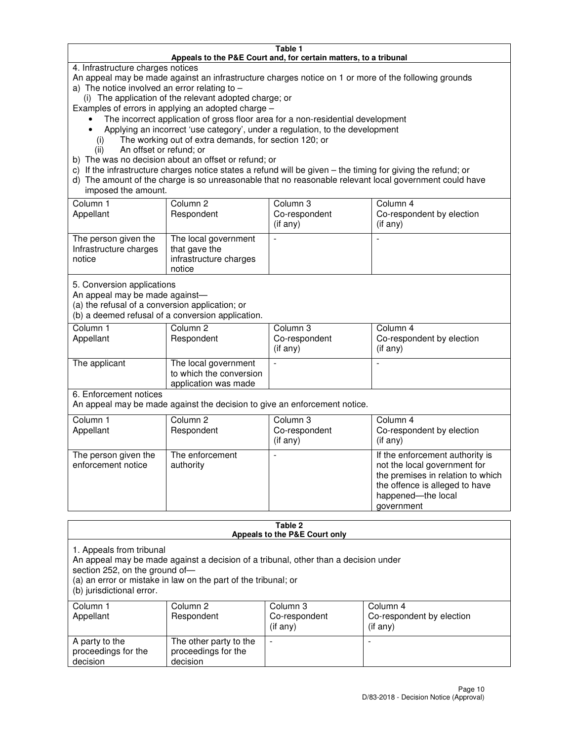#### **Table 1 Appeals to the P&E Court and, for certain matters, to a tribunal**

4. Infrastructure charges notices

An appeal may be made against an infrastructure charges notice on 1 or more of the following grounds

- a) The notice involved an error relating to
	- (i) The application of the relevant adopted charge; or

Examples of errors in applying an adopted charge –

- The incorrect application of gross floor area for a non-residential development
- Applying an incorrect 'use category', under a regulation, to the development
	- (i) The working out of extra demands, for section 120; or
	- (ii) An offset or refund; or
- b) The was no decision about an offset or refund; or
- c) If the infrastructure charges notice states a refund will be given the timing for giving the refund; or
- d) The amount of the charge is so unreasonable that no reasonable relevant local government could have imposed the amount.

| Column 1<br>Appellant                                    | Column 2<br>Respondent                                                    | Column 3<br>Co-respondent<br>$($ if any $)$ | Column 4<br>Co-respondent by election<br>$($ if any $)$ |
|----------------------------------------------------------|---------------------------------------------------------------------------|---------------------------------------------|---------------------------------------------------------|
| The person given the<br>Infrastructure charges<br>notice | The local government<br>that gave the<br>infrastructure charges<br>notice |                                             |                                                         |

5. Conversion applications

An appeal may be made against—

(a) the refusal of a conversion application; or

(b) a deemed refusal of a conversion application.

| Column 1<br>Appellant | Column 2<br>Respondent                                                  | Column 3<br>Co-respondent<br>$($ if any $)$ | Column 4<br>Co-respondent by election<br>$($ if any $)$ |
|-----------------------|-------------------------------------------------------------------------|---------------------------------------------|---------------------------------------------------------|
| The applicant         | The local government<br>to which the conversion<br>application was made |                                             |                                                         |

6. Enforcement notices

An appeal may be made against the decision to give an enforcement notice.

| Column 1<br>Appellant                      | Column 2<br>Respondent       | Column 3<br>Co-respondent<br>$($ if any $)$ | Column 4<br>Co-respondent by election<br>(if any)                                                                                                                          |
|--------------------------------------------|------------------------------|---------------------------------------------|----------------------------------------------------------------------------------------------------------------------------------------------------------------------------|
| The person given the<br>enforcement notice | The enforcement<br>authority |                                             | If the enforcement authority is<br>not the local government for<br>the premises in relation to which<br>the offence is alleged to have<br>happened-the local<br>government |

#### **Table 2 Appeals to the P&E Court only**

1. Appeals from tribunal

An appeal may be made against a decision of a tribunal, other than a decision under

section 252, on the ground of—

(a) an error or mistake in law on the part of the tribunal; or

(b) jurisdictional error.

| Column 1<br>Appellant                             | Column 2<br>Respondent                                    | Column 3<br>Co-respondent<br>(if any) | Column 4<br>Co-respondent by election<br>(if any) |
|---------------------------------------------------|-----------------------------------------------------------|---------------------------------------|---------------------------------------------------|
| A party to the<br>proceedings for the<br>decision | The other party to the<br>proceedings for the<br>decision | -                                     |                                                   |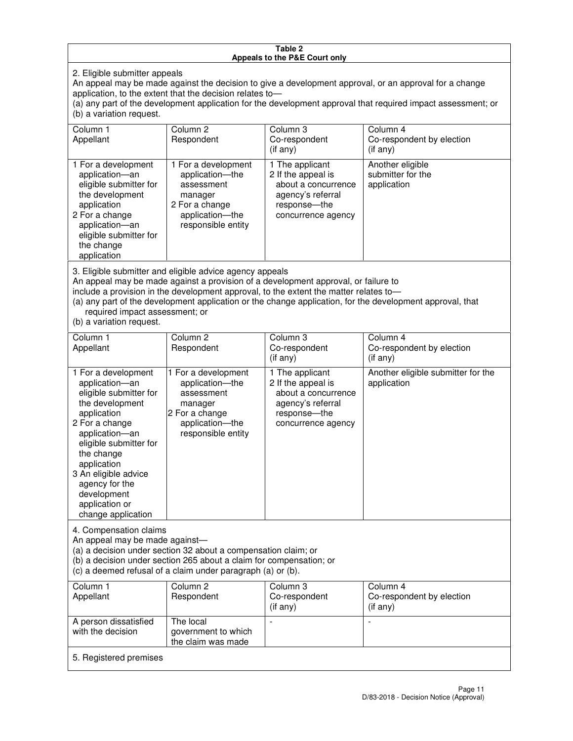#### **Table 2 Appeals to the P&E Court only**

2. Eligible submitter appeals

An appeal may be made against the decision to give a development approval, or an approval for a change application, to the extent that the decision relates to—

(a) any part of the development application for the development approval that required impact assessment; or (b) a variation request.

| Column 1<br>Appellant                                                                                                                                                                                                                                                                                                                                                                                              | Column <sub>2</sub><br>Respondent                                                                                          | Column 3<br>Co-respondent<br>(if any)                                                                                     | Column 4<br>Co-respondent by election<br>(i f any)   |
|--------------------------------------------------------------------------------------------------------------------------------------------------------------------------------------------------------------------------------------------------------------------------------------------------------------------------------------------------------------------------------------------------------------------|----------------------------------------------------------------------------------------------------------------------------|---------------------------------------------------------------------------------------------------------------------------|------------------------------------------------------|
| 1 For a development<br>application-an<br>eligible submitter for<br>the development<br>application<br>2 For a change<br>application-an<br>eligible submitter for<br>the change<br>application                                                                                                                                                                                                                       | 1 For a development<br>application-the<br>assessment<br>manager<br>2 For a change<br>application-the<br>responsible entity | 1 The applicant<br>2 If the appeal is<br>about a concurrence<br>agency's referral<br>response---the<br>concurrence agency | Another eligible<br>submitter for the<br>application |
| 3. Eligible submitter and eligible advice agency appeals<br>An appeal may be made against a provision of a development approval, or failure to<br>include a provision in the development approval, to the extent the matter relates to-<br>(a) any part of the development application or the change application, for the development approval, that<br>required impact assessment; or<br>(b) a variation request. |                                                                                                                            |                                                                                                                           |                                                      |
| Column 1<br>Appellant                                                                                                                                                                                                                                                                                                                                                                                              | Column <sub>2</sub><br>Respondent                                                                                          | Column 3<br>Co-respondent<br>(if any)                                                                                     | Column 4<br>Co-respondent by election<br>$(if$ any)  |
| 1 For a development<br>application-an<br>eligible submitter for<br>the development                                                                                                                                                                                                                                                                                                                                 | 1 For a development<br>application-the<br>assessment<br>manager                                                            | 1 The applicant<br>2 If the appeal is<br>about a concurrence<br>agency's referral                                         | Another eligible submitter for the<br>application    |

response—the concurrence agency

change application 4. Compensation claims

application 2 For a change application—an eligible submitter for

the change application 3 An eligible advice agency for the development application or

An appeal may be made against—

(a) a decision under section 32 about a compensation claim; or

2 For a change application—the responsible entity

(b) a decision under section 265 about a claim for compensation; or

(c) a deemed refusal of a claim under paragraph (a) or (b).

| Column 1<br>Appellant                      | Column 2<br>Respondent                                 | Column 3<br>Co-respondent<br>(if any) | Column 4<br>Co-respondent by election<br>$($ if any $)$ |
|--------------------------------------------|--------------------------------------------------------|---------------------------------------|---------------------------------------------------------|
| A person dissatisfied<br>with the decision | The local<br>government to which<br>the claim was made | -                                     |                                                         |
| 5. Registered premises                     |                                                        |                                       |                                                         |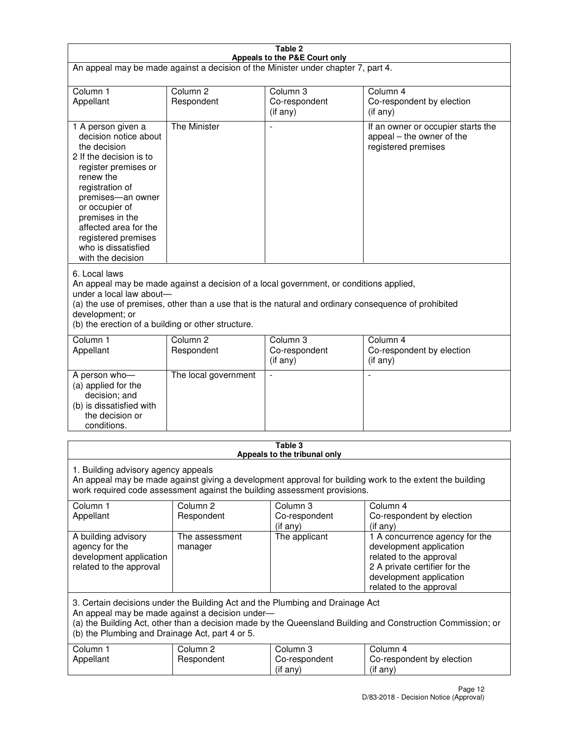| Table 2<br>Appeals to the P&E Court only                                                                                                                                                                                                                                                                             |                                   |                                       |                                                                                                                                                                             |  |
|----------------------------------------------------------------------------------------------------------------------------------------------------------------------------------------------------------------------------------------------------------------------------------------------------------------------|-----------------------------------|---------------------------------------|-----------------------------------------------------------------------------------------------------------------------------------------------------------------------------|--|
| An appeal may be made against a decision of the Minister under chapter 7, part 4.                                                                                                                                                                                                                                    |                                   |                                       |                                                                                                                                                                             |  |
|                                                                                                                                                                                                                                                                                                                      |                                   |                                       |                                                                                                                                                                             |  |
| Column 1<br>Appellant                                                                                                                                                                                                                                                                                                | Column <sub>2</sub><br>Respondent | Column <sub>3</sub><br>Co-respondent  | Column <sub>4</sub><br>Co-respondent by election                                                                                                                            |  |
|                                                                                                                                                                                                                                                                                                                      |                                   | (if any)                              | (if any)                                                                                                                                                                    |  |
| 1 A person given a<br>decision notice about<br>the decision<br>2 If the decision is to<br>register premises or<br>renew the<br>registration of<br>premises-an owner<br>or occupier of<br>premises in the<br>affected area for the<br>registered premises<br>who is dissatisfied<br>with the decision                 | <b>The Minister</b>               |                                       | If an owner or occupier starts the<br>appeal – the owner of the<br>registered premises                                                                                      |  |
| 6. Local laws<br>An appeal may be made against a decision of a local government, or conditions applied,<br>under a local law about-<br>(a) the use of premises, other than a use that is the natural and ordinary consequence of prohibited<br>development; or<br>(b) the erection of a building or other structure. |                                   |                                       |                                                                                                                                                                             |  |
| Column 1                                                                                                                                                                                                                                                                                                             | Column <sub>2</sub>               | Column 3                              | Column $\overline{4}$                                                                                                                                                       |  |
| Appellant                                                                                                                                                                                                                                                                                                            | Respondent                        | Co-respondent<br>(if any)             | Co-respondent by election<br>(if any)                                                                                                                                       |  |
| A person who-<br>(a) applied for the<br>decision; and<br>(b) is dissatisfied with<br>the decision or<br>conditions.                                                                                                                                                                                                  | The local government              |                                       |                                                                                                                                                                             |  |
| Table 3<br>Appeals to the tribunal only                                                                                                                                                                                                                                                                              |                                   |                                       |                                                                                                                                                                             |  |
| 1. Building advisory agency appeals<br>An appeal may be made against giving a development approval for building work to the extent the building<br>work required code assessment against the building assessment provisions.                                                                                         |                                   |                                       |                                                                                                                                                                             |  |
| Column 1<br>Appellant                                                                                                                                                                                                                                                                                                | Column <sub>2</sub><br>Respondent | Column 3<br>Co-respondent<br>(if any) | Column 4<br>Co-respondent by election<br>(if any)                                                                                                                           |  |
| A building advisory<br>agency for the<br>development application<br>related to the approval                                                                                                                                                                                                                          | The assessment<br>manager         | The applicant                         | 1 A concurrence agency for the<br>development application<br>related to the approval<br>2 A private certifier for the<br>development application<br>related to the approval |  |
| 3. Certain decisions under the Building Act and the Plumbing and Drainage Act<br>An appeal may be made against a decision under-<br>(a) the Building Act, other than a decision made by the Queensland Building and Construction Commission; or<br>(b) the Plumbing and Drainage Act, part 4 or 5.                   |                                   |                                       |                                                                                                                                                                             |  |
| Column 1<br>Appellant                                                                                                                                                                                                                                                                                                | Column <sub>2</sub><br>Respondent | Column 3<br>Co-respondent<br>(if any) | Column 4<br>Co-respondent by election<br>(if any)                                                                                                                           |  |